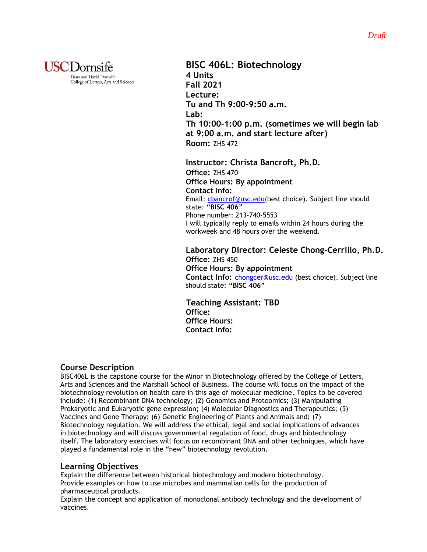

**BISC 406L: Biotechnology 4 Units Fall 2021 Lecture: Tu and Th 9:00-9:50 a.m. Lab: Th 10:00-1:00 p.m. (sometimes we will begin lab at 9:00 a.m. and start lecture after) Room:** ZHS 472

**Instructor: Christa Bancroft, Ph.D. Office:** ZHS 470 **Office Hours: By appointment Contact Info:** Email: [cbancrof@usc.edu\(](mailto:cbancrof@usc.edu)best choice). Subject line should state: **"BISC 406"** Phone number: 213-740-5553 I will typically reply to emails within 24 hours during the workweek and 48 hours over the weekend.

**Laboratory Director: Celeste Chong-Cerrillo, Ph.D. Office:** ZHS 450 **Office Hours: By appointment Contact Info:** [chongcer@usc.edu](mailto:chongcer@usc.edu) (best choice). Subject line should state: **"BISC 406"**

 **Teaching Assistant: TBD Office: Office Hours: Contact Info:**

### **Course Description**

BISC406L is the capstone course for the Minor in Biotechnology offered by the College of Letters, Arts and Sciences and the Marshall School of Business. The course will focus on the impact of the biotechnology revolution on health care in this age of molecular medicine. Topics to be covered include: (1) Recombinant DNA technology; (2) Genomics and Proteomics; (3) Manipulating Prokaryotic and Eukaryotic gene expression; (4) Molecular Diagnostics and Therapeutics; (5) Vaccines and Gene Therapy; (6) Genetic Engineering of Plants and Animals and; (7) Biotechnology regulation. We will address the ethical, legal and social implications of advances in biotechnology and will discuss governmental regulation of food, drugs and biotechnology itself. The laboratory exercises will focus on recombinant DNA and other techniques, which have played a fundamental role in the "new" biotechnology revolution.

## **Learning Objectives**

Explain the difference between historical biotechnology and modern biotechnology. Provide examples on how to use microbes and mammalian cells for the production of pharmaceutical products.

Explain the concept and application of monoclonal antibody technology and the development of vaccines.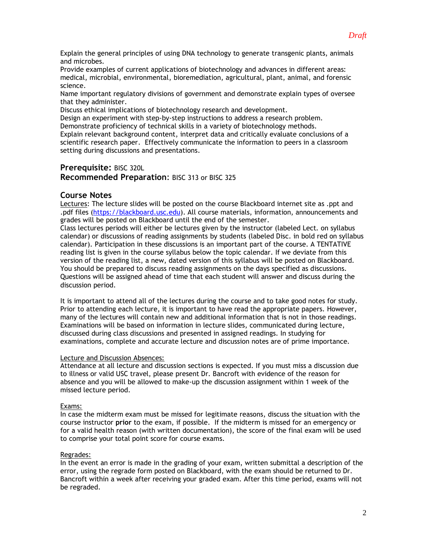Explain the general principles of using DNA technology to generate transgenic plants, animals and microbes.

Provide examples of current applications of biotechnology and advances in different areas: medical, microbial, environmental, bioremediation, agricultural, plant, animal, and forensic science.

Name important regulatory divisions of government and demonstrate explain types of oversee that they administer.

Discuss ethical implications of biotechnology research and development.

Design an experiment with step-by-step instructions to address a research problem. Demonstrate proficiency of technical skills in a variety of biotechnology methods.

Explain relevant background content, interpret data and critically evaluate conclusions of a scientific research paper. Effectively communicate the information to peers in a classroom setting during discussions and presentations.

#### **Prerequisite:** BISC 320L

**Recommended Preparation**: BISC 313 or BISC 325

#### **Course Notes**

Lectures: The lecture slides will be posted on the course Blackboard internet site as .ppt and .pdf files [\(https://blackboard.usc.edu\)](https://blackboard.usc.edu/). All course materials, information, announcements and grades will be posted on Blackboard until the end of the semester.

Class lectures periods will either be lectures given by the instructor (labeled Lect. on syllabus calendar) or discussions of reading assignments by students (labeled Disc. in bold red on syllabus calendar). Participation in these discussions is an important part of the course. A TENTATIVE reading list is given in the course syllabus below the topic calendar. If we deviate from this version of the reading list, a new, dated version of this syllabus will be posted on Blackboard. You should be prepared to discuss reading assignments on the days specified as discussions. Questions will be assigned ahead of time that each student will answer and discuss during the discussion period.

It is important to attend all of the lectures during the course and to take good notes for study. Prior to attending each lecture, it is important to have read the appropriate papers. However, many of the lectures will contain new and additional information that is not in those readings. Examinations will be based on information in lecture slides, communicated during lecture, discussed during class discussions and presented in assigned readings. In studying for examinations, complete and accurate lecture and discussion notes are of prime importance.

#### Lecture and Discussion Absences:

Attendance at all lecture and discussion sections is expected. If you must miss a discussion due to illness or valid USC travel, please present Dr. Bancroft with evidence of the reason for absence and you will be allowed to make-up the discussion assignment within 1 week of the missed lecture period.

#### Exams:

In case the midterm exam must be missed for legitimate reasons, discuss the situation with the course instructor **prior** to the exam, if possible. If the midterm is missed for an emergency or for a valid health reason (with written documentation), the score of the final exam will be used to comprise your total point score for course exams.

#### Regrades:

In the event an error is made in the grading of your exam, written submittal a description of the error, using the regrade form posted on Blackboard, with the exam should be returned to Dr. Bancroft within a week after receiving your graded exam. After this time period, exams will not be regraded.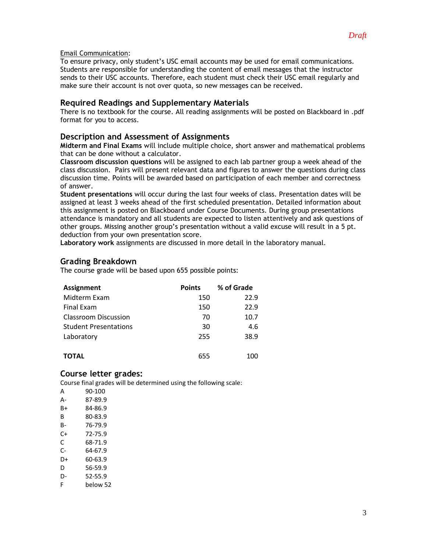#### Email Communication:

To ensure privacy, only student's USC email accounts may be used for email communications. Students are responsible for understanding the content of email messages that the instructor sends to their USC accounts. Therefore, each student must check their USC email regularly and make sure their account is not over quota, so new messages can be received.

#### **Required Readings and Supplementary Materials**

There is no textbook for the course. All reading assignments will be posted on Blackboard in .pdf format for you to access.

#### **Description and Assessment of Assignments**

**Midterm and Final Exams** will include multiple choice, short answer and mathematical problems that can be done without a calculator.

**Classroom discussion questions** will be assigned to each lab partner group a week ahead of the class discussion. Pairs will present relevant data and figures to answer the questions during class discussion time. Points will be awarded based on participation of each member and correctness of answer.

**Student presentations** will occur during the last four weeks of class. Presentation dates will be assigned at least 3 weeks ahead of the first scheduled presentation. Detailed information about this assignment is posted on Blackboard under Course Documents. During group presentations attendance is mandatory and all students are expected to listen attentively and ask questions of other groups. Missing another group's presentation without a valid excuse will result in a 5 pt. deduction from your own presentation score.

**Laboratory work** assignments are discussed in more detail in the laboratory manual.

### **Grading Breakdown**

The course grade will be based upon 655 possible points:

| <b>Assignment</b>            | <b>Points</b> | % of Grade |
|------------------------------|---------------|------------|
| Midterm Exam                 | 150           | 22.9       |
| <b>Final Exam</b>            | 150           | 22.9       |
| <b>Classroom Discussion</b>  | 70            | 10.7       |
| <b>Student Presentations</b> | 30            | 4.6        |
| Laboratory                   | 255           | 38.9       |
|                              |               |            |
| TOTAL                        | 655           | 100        |

### **Course letter grades:**

Course final grades will be determined using the following scale:

| A  | 90-100   |
|----|----------|
| А- | 87-89.9  |
| R+ | 84-86.9  |
| R  | 80-83.9  |
| B- | 76-79.9  |
| C+ | 72-75.9  |
| C  | 68-71.9  |
| C- | 64-67.9  |
| D+ | 60-63.9  |
| D  | 56-59.9  |
| n- | 52-55.9  |
| F  | helow 52 |
|    |          |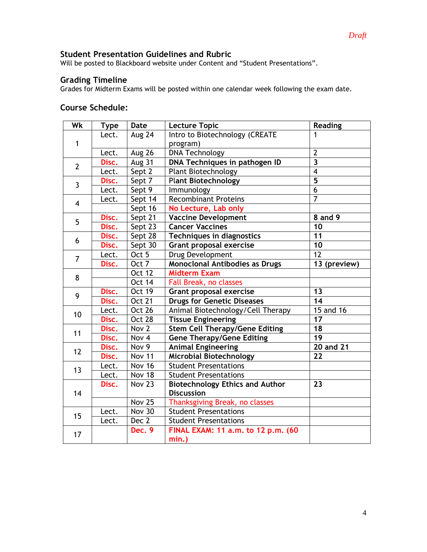## **Student Presentation Guidelines and Rubric**

Will be posted to Blackboard website under Content and "Student Presentations".

#### **Grading Timeline**

Grades for Midterm Exams will be posted within one calendar week following the exam date.

### **Course Schedule:**

| Wk             | <b>Type</b> | <b>Date</b>   | <b>Lecture Topic</b>                   | <b>Reading</b>          |
|----------------|-------------|---------------|----------------------------------------|-------------------------|
| $\mathbf{1}$   | Lect.       | Aug 24        | Intro to Biotechnology (CREATE         | 1                       |
|                |             |               | program)                               |                         |
|                | Lect.       | Aug 26        | <b>DNA Technology</b>                  | $\overline{2}$          |
| $\overline{2}$ | Disc.       | Aug 31        | DNA Techniques in pathogen ID          | $\overline{\mathbf{3}}$ |
|                | Lect.       | Sept 2        | <b>Plant Biotechnology</b>             | 4                       |
| $\mathbf{3}$   | Disc.       | Sept 7        | <b>Plant Biotechnology</b>             | $\overline{\mathbf{5}}$ |
|                | Lect.       | Sept 9        | Immunology                             | $\overline{6}$          |
| $\overline{4}$ | Lect.       | Sept 14       | <b>Recombinant Proteins</b>            | $\overline{7}$          |
|                |             | Sept 16       | No Lecture, Lab only                   |                         |
| 5              | Disc.       | Sept 21       | <b>Vaccine Development</b>             | 8 and 9                 |
|                | Disc.       | Sept 23       | <b>Cancer Vaccines</b>                 | 10                      |
| 6              | Disc.       | Sept 28       | <b>Techniques in diagnostics</b>       | 11                      |
|                | Disc.       | Sept $30$     | <b>Grant proposal exercise</b>         | 10                      |
| $\overline{7}$ | Lect.       | Oct 5         | Drug Development                       | $\overline{12}$         |
|                | Disc.       | Oct 7         | <b>Monoclonal Antibodies as Drugs</b>  | 13 (preview)            |
| 8              |             | <b>Oct 12</b> | <b>Midterm Exam</b>                    |                         |
|                |             | <b>Oct 14</b> | Fall Break, no classes                 |                         |
| 9              | Disc.       | <b>Oct 19</b> | <b>Grant proposal exercise</b>         | 13                      |
|                | Disc.       | <b>Oct 21</b> | <b>Drugs for Genetic Diseases</b>      | 14                      |
| 10             | Lect.       | Oct 26        | Animal Biotechnology/Cell Therapy      | 15 and 16               |
|                | Disc.       | Oct 28        | <b>Tissue Engineering</b>              | 17                      |
|                | Disc.       | Nov 2         | <b>Stem Cell Therapy/Gene Editing</b>  | 18                      |
| 11             | Disc.       | Nov 4         | <b>Gene Therapy/Gene Editing</b>       | 19                      |
| 12             | Disc.       | Nov 9         | <b>Animal Engineering</b>              | <b>20 and 21</b>        |
|                | Disc.       | <b>Nov 11</b> | <b>Microbial Biotechnology</b>         | 22                      |
| 13             | Lect.       | <b>Nov 16</b> | <b>Student Presentations</b>           |                         |
|                | Lect.       | <b>Nov 18</b> | <b>Student Presentations</b>           |                         |
| 14             | Disc.       | <b>Nov 23</b> | <b>Biotechnology Ethics and Author</b> | 23                      |
|                |             |               | <b>Discussion</b>                      |                         |
|                |             | <b>Nov 25</b> | Thanksgiving Break, no classes         |                         |
| 15             | Lect.       | <b>Nov 30</b> | <b>Student Presentations</b>           |                         |
|                | Lect.       | Dec 2         | <b>Student Presentations</b>           |                         |
| 17             |             | Dec. 9        | FINAL EXAM: 11 a.m. to 12 p.m. (60     |                         |
|                |             |               | min.)                                  |                         |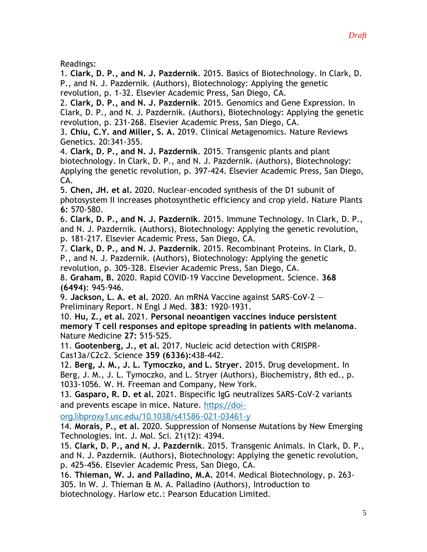Readings:

1. **Clark, D. P., and N. J. Pazdernik**. 2015. Basics of Biotechnology. In Clark, D. P., and N. J. Pazdernik. (Authors), Biotechnology: Applying the genetic revolution, p. 1-32. Elsevier Academic Press, San Diego, CA.

2. **Clark, D. P., and N. J. Pazdernik**. 2015. Genomics and Gene Expression. In Clark, D. P., and N. J. Pazdernik. (Authors), Biotechnology: Applying the genetic revolution, p. 231-268. Elsevier Academic Press, San Diego, CA.

3. **Chiu, C.Y. and Miller, S. A.** 2019. Clinical Metagenomics. Nature Reviews Genetics. 20:341-355.

4. **Clark, D. P., and N. J. Pazdernik**. 2015. Transgenic plants and plant biotechnology. In Clark, D. P., and N. J. Pazdernik. (Authors), Biotechnology: Applying the genetic revolution, p. 397-424. Elsevier Academic Press, San Diego, CA.

5. **Chen, JH. et al.** 2020. Nuclear-encoded synthesis of the D1 subunit of photosystem II increases photosynthetic efficiency and crop yield. Nature Plants **6:** 570-580.

6. **Clark, D. P., and N. J. Pazdernik**. 2015. Immune Technology. In Clark, D. P., and N. J. Pazdernik. (Authors), Biotechnology: Applying the genetic revolution, p. 181-217. Elsevier Academic Press, San Diego, CA.

7. **Clark, D. P., and N. J. Pazdernik**. 2015. Recombinant Proteins. In Clark, D. P., and N. J. Pazdernik. (Authors), Biotechnology: Applying the genetic revolution, p. 305-328. Elsevier Academic Press, San Diego, CA.

8. **Graham, B.** 2020. Rapid COVID-19 Vaccine Development. Science. **368 (6494)**: 945-946.

9. **Jackson, L. A. et al.** 2020. An mRNA Vaccine against SARS-CoV-2 — Preliminary Report. N Engl J Med. **383**: 1920-1931.

10. **Hu, Z., et al.** 2021. **Personal neoantigen vaccines induce persistent memory T cell responses and epitope spreading in patients with melanoma**. Nature Medicine **27:** 515-525.

11. **Gootenberg, J., et al.** 2017. Nucleic acid detection with CRISPR-Cas13a/C2c2. Science **359 (6336):**438-442.

12. **Berg, J. M., J. L. Tymoczko, and L. Stryer.** 2015. Drug development. In Berg, J. M., J. L. Tymoczko, and L. Stryer (Authors), Biochemistry, 8th ed., p. 1033-1056. W. H. Freeman and Company, New York.

13. **Gasparo, R. D. et al.** 2021. Bispecific IgG neutralizes SARS-CoV-2 variants and prevents escape in mice. Nature. [https://doi-](https://doi-org.libproxy1.usc.edu/10.1038/s41586-021-03461-y)

[org.libproxy1.usc.edu/10.1038/s41586-021-03461-y](https://doi-org.libproxy1.usc.edu/10.1038/s41586-021-03461-y)

14. **Morais, P., et al.** 2020. Suppression of Nonsense Mutations by New Emerging Technologies. Int. J. Mol. Sci. 21(12): 4394.

15. **Clark, D. P., and N. J. Pazdernik**. 2015. Transgenic Animals. In Clark, D. P., and N. J. Pazdernik. (Authors), Biotechnology: Applying the genetic revolution, p. 425-456. Elsevier Academic Press, San Diego, CA.

16. **Thieman, W. J. and Palladino, M.A.** 2014. Medical Biotechnology, p. 263- 305. In W. J. Thieman & M. A. Palladino (Authors), Introduction to biotechnology. Harlow etc.: Pearson Education Limited.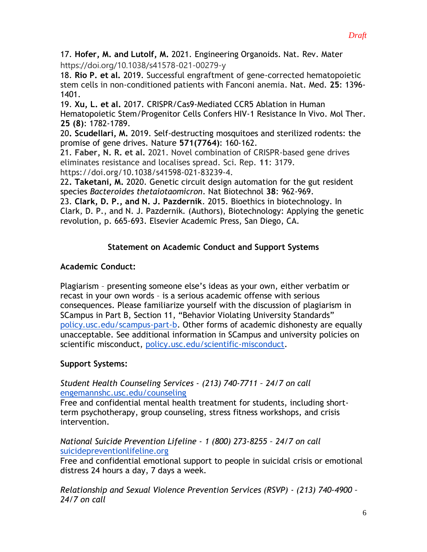17. **Hofer, M. and Lutolf, M.** 2021. Engineering Organoids. Nat. Rev. Mater https://doi.org/10.1038/s41578-021-00279-y

18. **Rio P. et al.** 2019. Successful engraftment of gene-corrected hematopoietic stem cells in non-conditioned patients with Fanconi anemia. Nat. Med. **25**: 1396- 1401.

19. **Xu, L. et al.** 2017. CRISPR/Cas9-Mediated CCR5 Ablation in Human Hematopoietic Stem/Progenitor Cells Confers HIV-1 Resistance In Vivo. Mol Ther. **25 (8)**: 1782-1789.

20**. Scudellari, M.** 2019. Self-destructing mosquitoes and sterilized rodents: the promise of gene drives. Nature **571(7764)**: 160-162.

21. **Faber, N. R. et al.** 2021. Novel combination of CRISPR-based gene drives eliminates resistance and localises spread. Sci. Rep. **11**: 3179. https://doi.org/10.1038/s41598-021-83239-4.

22**. Taketani, M.** 2020. Genetic circuit design automation for the gut resident species *Bacteroides thetaiotaomicron*. Nat Biotechnol **38**: 962-969.

23. **Clark, D. P., and N. J. Pazdernik**. 2015. Bioethics in biotechnology. In Clark, D. P., and N. J. Pazdernik. (Authors), Biotechnology: Applying the genetic revolution, p. 665-693. Elsevier Academic Press, San Diego, CA.

# **Statement on Academic Conduct and Support Systems**

## **Academic Conduct:**

Plagiarism – presenting someone else's ideas as your own, either verbatim or recast in your own words – is a serious academic offense with serious consequences. Please familiarize yourself with the discussion of plagiarism in SCampus in Part B, Section 11, "Behavior Violating University Standards" [policy.usc.edu/scampus-part-b.](https://policy.usc.edu/scampus-part-b/) Other forms of academic dishonesty are equally unacceptable. See additional information in SCampus and university policies on scientific misconduct, [policy.usc.edu/scientific-misconduct.](http://policy.usc.edu/scientific-misconduct)

# **Support Systems:**

## *Student Health Counseling Services - (213) 740-7711 – 24/7 on call* [engemannshc.usc.edu/counseling](https://engemannshc.usc.edu/counseling/)

Free and confidential mental health treatment for students, including shortterm psychotherapy, group counseling, stress fitness workshops, and crisis intervention.

*National Suicide Prevention Lifeline - 1 (800) 273-8255 – 24/7 on call* [suicidepreventionlifeline.org](http://www.suicidepreventionlifeline.org/)

Free and confidential emotional support to people in suicidal crisis or emotional distress 24 hours a day, 7 days a week.

*Relationship and Sexual Violence Prevention Services (RSVP) - (213) 740-4900 – 24/7 on call*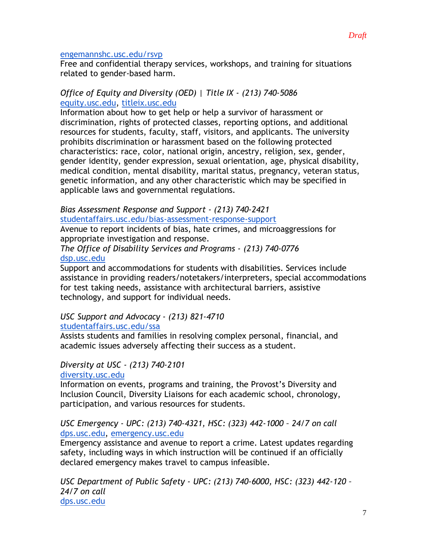### [engemannshc.usc.edu/rsvp](https://engemannshc.usc.edu/rsvp/)

Free and confidential therapy services, workshops, and training for situations related to gender-based harm[.](https://engemannshc.usc.edu/rsvp/)

### *Office of Equity and Diversity (OED) | Title IX - (213) 740-5086* [equity.usc.edu,](https://equity.usc.edu/) [titleix.usc.edu](http://titleix.usc.edu/)

Information about how to get help or help a survivor of harassment or discrimination, rights of protected classes, reporting options, and additional resources for students, faculty, staff, visitors, and applicants. The university prohibits discrimination or harassment based on the following protected characteristics: race, color, national origin, ancestry, religion, sex, gender, gender identity, gender expression, sexual orientation, age, physical disability, medical condition, mental disability, marital status, pregnancy, veteran status, genetic information, and any other characteristic which may be specified in applicable laws and governmental regulations[.](http://sarc.usc.edu/)

*Bias Assessment Response and Support - (213) 740-2421* [studentaffairs.usc.edu/bias-assessment-response-support](https://studentaffairs.usc.edu/bias-assessment-response-support/)

Avenue to report incidents of bias, hate crimes, and microaggressions for appropriate investigation and response[.](https://studentaffairs.usc.edu/bias-assessment-response-support/)

*The Office of Disability Services and Programs - (213) 740-0776* [dsp.usc.edu](http://dsp.usc.edu/)

Support and accommodations for students with disabilities. Services include assistance in providing readers/notetakers/interpreters, special accommodations for test taking needs, assistance with architectural barriers, assistive technology, and support for individual needs[.](http://dsp.usc.edu/)

# *USC Support and Advocacy - (213) 821-4710*

[studentaffairs.usc.edu/ssa](https://studentaffairs.usc.edu/ssa/)

Assists students and families in resolving complex personal, financial, and academic issues adversely affecting their success as a student[.](https://studentaffairs.usc.edu/ssa/)

## *Diversity at USC - (213) 740-2101*

[diversity.usc.edu](https://diversity.usc.edu/)

Information on events, programs and training, the Provost's Diversity and Inclusion Council, Diversity Liaisons for each academic school, chronology, participation, and various resources for students.

## *USC Emergency - UPC: (213) 740-4321, HSC: (323) 442-1000 – 24/7 on call*  [dps.usc.edu,](http://dps.usc.edu/) [emergency.usc.edu](http://emergency.usc.edu/)

Emergency assistance and avenue to report a crime. Latest updates regarding safety, including ways in which instruction will be continued if an officially declared emergency makes travel to campus infeasible.

*USC Department of Public Safety - UPC: (213) 740-6000, HSC: (323) 442-120 – 24/7 on call*  [dps.usc.edu](http://dps.usc.edu/)